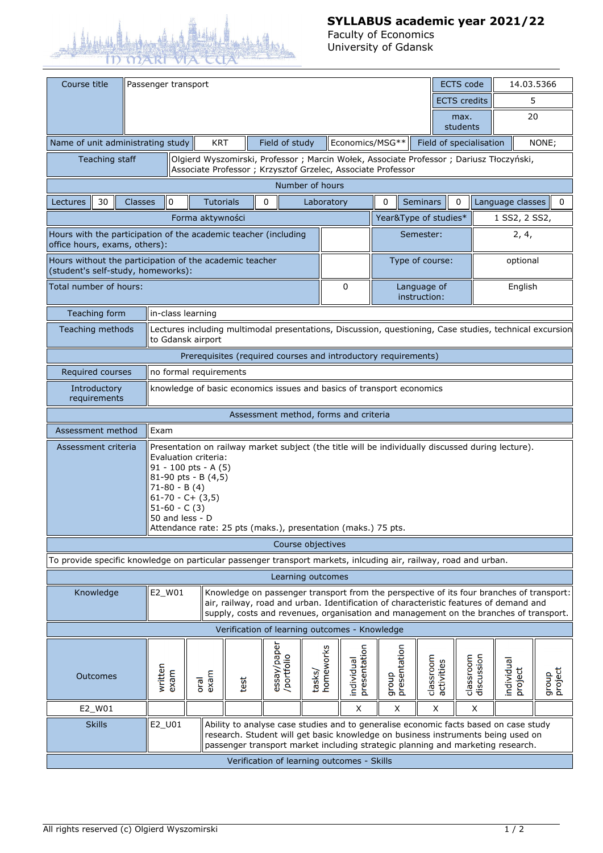

## **SYLLABUS academic year 2021/22**

Faculty of Economics University of Gdansk

| Course title                                                                                                                                                                                                                                                                                                                                     |                                            | Passenger transport |                                                                                                                                                                                                                                                                            |      |                   |      |             |            |                     |                            |                             | <b>ECTS</b> code        | 14.03.5366              |                       |                  |
|--------------------------------------------------------------------------------------------------------------------------------------------------------------------------------------------------------------------------------------------------------------------------------------------------------------------------------------------------|--------------------------------------------|---------------------|----------------------------------------------------------------------------------------------------------------------------------------------------------------------------------------------------------------------------------------------------------------------------|------|-------------------|------|-------------|------------|---------------------|----------------------------|-----------------------------|-------------------------|-------------------------|-----------------------|------------------|
|                                                                                                                                                                                                                                                                                                                                                  |                                            |                     |                                                                                                                                                                                                                                                                            |      |                   |      |             |            |                     |                            |                             | <b>ECTS</b> credits     |                         | 5                     |                  |
|                                                                                                                                                                                                                                                                                                                                                  |                                            |                     |                                                                                                                                                                                                                                                                            |      |                   |      |             |            |                     |                            | max.<br>students            |                         | 20                      |                       |                  |
| Economics/MSG**<br>Name of unit administrating study<br><b>KRT</b><br>Field of study<br>Field of specialisation<br>NONE;                                                                                                                                                                                                                         |                                            |                     |                                                                                                                                                                                                                                                                            |      |                   |      |             |            |                     |                            |                             |                         |                         |                       |                  |
| Olgierd Wyszomirski, Professor ; Marcin Wołek, Associate Professor ; Dariusz Tłoczyński,<br>Teaching staff<br>Associate Professor ; Krzysztof Grzelec, Associate Professor                                                                                                                                                                       |                                            |                     |                                                                                                                                                                                                                                                                            |      |                   |      |             |            |                     |                            |                             |                         |                         |                       |                  |
|                                                                                                                                                                                                                                                                                                                                                  |                                            |                     | Number of hours                                                                                                                                                                                                                                                            |      |                   |      |             |            |                     |                            |                             |                         |                         |                       |                  |
| Lectures                                                                                                                                                                                                                                                                                                                                         | 30                                         | Classes             |                                                                                                                                                                                                                                                                            | 0    | <b>Tutorials</b>  |      | 0           |            | Laboratory          |                            | 0                           | <b>Seminars</b>         | $\mathbf 0$             | Language classes      | 0                |
|                                                                                                                                                                                                                                                                                                                                                  |                                            |                     |                                                                                                                                                                                                                                                                            |      | Forma aktywności  |      |             |            |                     |                            | Year&Type of studies*       |                         |                         | 1 SS2, 2 SS2,         |                  |
| Hours with the participation of the academic teacher (including<br>office hours, exams, others):                                                                                                                                                                                                                                                 |                                            |                     |                                                                                                                                                                                                                                                                            |      |                   |      |             |            | Semester:           |                            |                             | 2, 4,                   |                         |                       |                  |
| Hours without the participation of the academic teacher<br>(student's self-study, homeworks):                                                                                                                                                                                                                                                    |                                            |                     |                                                                                                                                                                                                                                                                            |      |                   |      |             |            | Type of course:     |                            |                             | optional                |                         |                       |                  |
| Total number of hours:                                                                                                                                                                                                                                                                                                                           |                                            |                     |                                                                                                                                                                                                                                                                            |      |                   |      |             |            |                     | $\mathbf 0$                | Language of<br>instruction: |                         |                         | English               |                  |
|                                                                                                                                                                                                                                                                                                                                                  | Teaching form                              |                     |                                                                                                                                                                                                                                                                            |      | in-class learning |      |             |            |                     |                            |                             |                         |                         |                       |                  |
| Teaching methods                                                                                                                                                                                                                                                                                                                                 |                                            |                     | Lectures including multimodal presentations, Discussion, questioning, Case studies, technical excursion<br>to Gdansk airport                                                                                                                                               |      |                   |      |             |            |                     |                            |                             |                         |                         |                       |                  |
| Prerequisites (required courses and introductory requirements)                                                                                                                                                                                                                                                                                   |                                            |                     |                                                                                                                                                                                                                                                                            |      |                   |      |             |            |                     |                            |                             |                         |                         |                       |                  |
|                                                                                                                                                                                                                                                                                                                                                  | no formal requirements<br>Required courses |                     |                                                                                                                                                                                                                                                                            |      |                   |      |             |            |                     |                            |                             |                         |                         |                       |                  |
| knowledge of basic economics issues and basics of transport economics<br>Introductory<br>requirements                                                                                                                                                                                                                                            |                                            |                     |                                                                                                                                                                                                                                                                            |      |                   |      |             |            |                     |                            |                             |                         |                         |                       |                  |
| Assessment method, forms and criteria                                                                                                                                                                                                                                                                                                            |                                            |                     |                                                                                                                                                                                                                                                                            |      |                   |      |             |            |                     |                            |                             |                         |                         |                       |                  |
|                                                                                                                                                                                                                                                                                                                                                  | Exam<br>Assessment method                  |                     |                                                                                                                                                                                                                                                                            |      |                   |      |             |            |                     |                            |                             |                         |                         |                       |                  |
| Presentation on railway market subject (the title will be individually discussed during lecture).<br>Assessment criteria<br>Evaluation criteria:<br>91 - 100 pts - A (5)<br>81-90 pts - B $(4,5)$<br>$71-80 - B(4)$<br>$61-70 - C + (3,5)$<br>$51-60 - C(3)$<br>50 and less - D<br>Attendance rate: 25 pts (maks.), presentation (maks.) 75 pts. |                                            |                     |                                                                                                                                                                                                                                                                            |      |                   |      |             |            |                     |                            |                             |                         |                         |                       |                  |
| Course objectives                                                                                                                                                                                                                                                                                                                                |                                            |                     |                                                                                                                                                                                                                                                                            |      |                   |      |             |            |                     |                            |                             |                         |                         |                       |                  |
| To provide specific knowledge on particular passenger transport markets, inlcuding air, railway, road and urban.                                                                                                                                                                                                                                 |                                            |                     |                                                                                                                                                                                                                                                                            |      |                   |      |             |            |                     |                            |                             |                         |                         |                       |                  |
| Learning outcomes                                                                                                                                                                                                                                                                                                                                |                                            |                     |                                                                                                                                                                                                                                                                            |      |                   |      |             |            |                     |                            |                             |                         |                         |                       |                  |
| E2_W01<br>Knowledge                                                                                                                                                                                                                                                                                                                              |                                            |                     | Knowledge on passenger transport from the perspective of its four branches of transport:<br>air, railway, road and urban. Identification of characteristic features of demand and<br>supply, costs and revenues, organisation and management on the branches of transport. |      |                   |      |             |            |                     |                            |                             |                         |                         |                       |                  |
| Verification of learning outcomes - Knowledge                                                                                                                                                                                                                                                                                                    |                                            |                     |                                                                                                                                                                                                                                                                            |      |                   |      |             |            |                     |                            |                             |                         |                         |                       |                  |
|                                                                                                                                                                                                                                                                                                                                                  | Outcomes                                   |                     | written                                                                                                                                                                                                                                                                    | exam | exam<br>oral      | test | essay/paper | /portfolio | homeworks<br>tasks/ | presentation<br>individual | group<br>presentation       | classroom<br>activities | classroom<br>discussion | individual<br>project | group<br>project |
|                                                                                                                                                                                                                                                                                                                                                  | E2_W01                                     |                     |                                                                                                                                                                                                                                                                            |      |                   |      |             |            |                     | X                          | X                           | X                       | X                       |                       |                  |
|                                                                                                                                                                                                                                                                                                                                                  | <b>Skills</b>                              |                     | E2_U01<br>Ability to analyse case studies and to generalise economic facts based on case study<br>research. Student will get basic knowledge on business instruments being used on<br>passenger transport market including strategic planning and marketing research.      |      |                   |      |             |            |                     |                            |                             |                         |                         |                       |                  |
|                                                                                                                                                                                                                                                                                                                                                  | Verification of learning outcomes - Skills |                     |                                                                                                                                                                                                                                                                            |      |                   |      |             |            |                     |                            |                             |                         |                         |                       |                  |